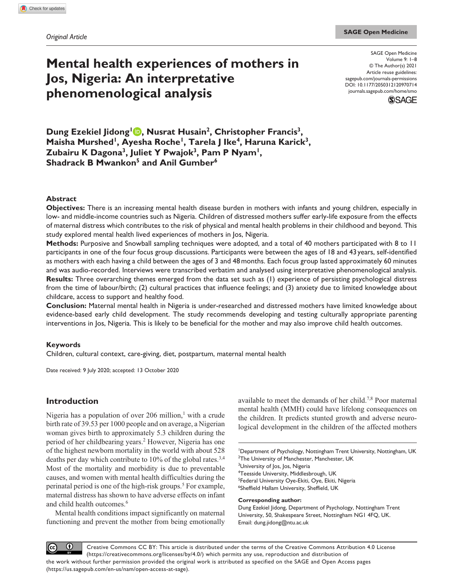# **Mental health experiences of mothers in Jos, Nigeria: An interpretative phenomenological analysis**

https://doi.org/10.1177/2050312120970714 DOI: 10.1177/2050312120970714 SAGE Open Medicine Volume 9: 1–8 © The Author(s) 2021 Article reuse guidelines: [sagepub.com/journals-permissions](https://uk.sagepub.com/en-gb/journals-permissions) [journals.sagepub.com/home/smo](https://journals.sagepub.com/home/smo)



**Dung Ezekiel Jidong<sup>1</sup> <b>D**, Nusrat Husain<sup>2</sup>, Christopher Francis<sup>3</sup>, Maisha Murshed<sup>1</sup>, Ayesha Roche<sup>1</sup>, Tarela J Ike<sup>4</sup>, Haruna Karick<sup>3</sup>, **Zubairu K Dagona3, Juliet Y Pwajok3, Pam P Nyam1, Shadrack B Mwankon<sup>5</sup> and Anil Gumber<sup>6</sup>** 

### **Abstract**

**Objectives:** There is an increasing mental health disease burden in mothers with infants and young children, especially in low- and middle-income countries such as Nigeria. Children of distressed mothers suffer early-life exposure from the effects of maternal distress which contributes to the risk of physical and mental health problems in their childhood and beyond. This study explored mental health lived experiences of mothers in Jos, Nigeria.

**Methods:** Purposive and Snowball sampling techniques were adopted, and a total of 40 mothers participated with 8 to 11 participants in one of the four focus group discussions. Participants were between the ages of 18 and 43 years, self-identified as mothers with each having a child between the ages of 3 and 48months. Each focus group lasted approximately 60 minutes and was audio-recorded. Interviews were transcribed verbatim and analysed using interpretative phenomenological analysis. **Results:** Three overarching themes emerged from the data set such as (1) experience of persisting psychological distress from the time of labour/birth; (2) cultural practices that influence feelings; and (3) anxiety due to limited knowledge about childcare, access to support and healthy food.

**Conclusion:** Maternal mental health in Nigeria is under-researched and distressed mothers have limited knowledge about evidence-based early child development. The study recommends developing and testing culturally appropriate parenting interventions in Jos, Nigeria. This is likely to be beneficial for the mother and may also improve child health outcomes.

#### **Keywords**

Children, cultural context, care-giving, diet, postpartum, maternal mental health

Date received: 9 July 2020; accepted: 13 October 2020

### **Introduction**

Nigeria has a population of over  $206$  million,<sup>1</sup> with a crude birth rate of 39.53 per 1000 people and on average, a Nigerian woman gives birth to approximately 5.3 children during the period of her childbearing years.<sup>2</sup> However, Nigeria has one of the highest newborn mortality in the world with about 528 deaths per day which contribute to 10% of the global rates.<sup>3,4</sup> Most of the mortality and morbidity is due to preventable causes, and women with mental health difficulties during the perinatal period is one of the high-risk groups.<sup>5</sup> For example, maternal distress has shown to have adverse effects on infant and child health outcomes.6

Mental health conditions impact significantly on maternal functioning and prevent the mother from being emotionally

available to meet the demands of her child.7,8 Poor maternal mental health (MMH) could have lifelong consequences on the children. It predicts stunted growth and adverse neurological development in the children of the affected mothers

1 Department of Psychology, Nottingham Trent University, Nottingham, UK <sup>2</sup>The University of Manchester, Manchester, UK

<sup>3</sup>University of Jos, Jos, Nigeria

4 Teesside University, Middlesbrough, UK

<sup>5</sup>Federal University Oye-Ekiti, Oye, Ekiti, Nigeria

6 Sheffield Hallam University, Sheffield, UK

**Corresponding author:**

Dung Ezekiel Jidong, Department of Psychology, Nottingham Trent University, 50, Shakespeare Street, Nottingham NG1 4FQ, UK. Email: [dung.jidong@ntu.ac.uk](mailto:dung.jidong@ntu.ac.uk)

 $\odot$ Creative Commons CC BY: This article is distributed under the terms of the Creative Commons Attribution 4.0 License (cc) (https://creativecommons.org/licenses/by/4.0/) which permits any use, reproduction and distribution of the work without further permission provided the original work is attributed as specified on the SAGE and Open Access pages (https://us.sagepub.com/en-us/nam/open-access-at-sage).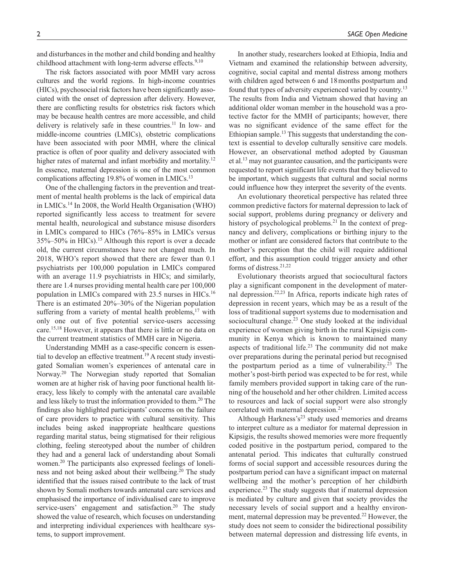and disturbances in the mother and child bonding and healthy childhood attachment with long-term adverse effects.<sup>9,10</sup>

The risk factors associated with poor MMH vary across cultures and the world regions. In high-income countries (HICs), psychosocial risk factors have been significantly associated with the onset of depression after delivery. However, there are conflicting results for obstetrics risk factors which may be because health centres are more accessible, and child delivery is relatively safe in these countries.<sup>11</sup> In low- and middle-income countries (LMICs), obstetric complications have been associated with poor MMH, where the clinical practice is often of poor quality and delivery associated with higher rates of maternal and infant morbidity and mortality.<sup>12</sup> In essence, maternal depression is one of the most common complications affecting 19.8% of women in LMICs.<sup>13</sup>

One of the challenging factors in the prevention and treatment of mental health problems is the lack of empirical data in LMICs.14 In 2008, the World Health Organisation (WHO) reported significantly less access to treatment for severe mental health, neurological and substance misuse disorders in LMICs compared to HICs (76%–85% in LMICs versus 35%–50% in HICs).15 Although this report is over a decade old, the current circumstances have not changed much. In 2018, WHO's report showed that there are fewer than 0.1 psychiatrists per 100,000 population in LMICs compared with an average 11.9 psychiatrists in HICs; and similarly, there are 1.4 nurses providing mental health care per 100,000 population in LMICs compared with 23.5 nurses in HICs.16 There is an estimated 20%–30% of the Nigerian population suffering from a variety of mental health problems, $17$  with only one out of five potential service-users accessing care.15,18 However, it appears that there is little or no data on the current treatment statistics of MMH care in Nigeria.

Understanding MMH as a case-specific concern is essential to develop an effective treatment.<sup>19</sup> A recent study investigated Somalian women's experiences of antenatal care in Norway.20 The Norwegian study reported that Somalian women are at higher risk of having poor functional health literacy, less likely to comply with the antenatal care available and less likely to trust the information provided to them.<sup>20</sup> The findings also highlighted participants' concerns on the failure of care providers to practice with cultural sensitivity. This includes being asked inappropriate healthcare questions regarding marital status, being stigmatised for their religious clothing, feeling stereotyped about the number of children they had and a general lack of understanding about Somali women.<sup>20</sup> The participants also expressed feelings of loneliness and not being asked about their wellbeing.<sup>20</sup> The study identified that the issues raised contribute to the lack of trust shown by Somali mothers towards antenatal care services and emphasised the importance of individualised care to improve service-users' engagement and satisfaction.<sup>20</sup> The study showed the value of research, which focuses on understanding and interpreting individual experiences with healthcare systems, to support improvement.

In another study, researchers looked at Ethiopia, India and Vietnam and examined the relationship between adversity, cognitive, social capital and mental distress among mothers with children aged between 6 and 18months postpartum and found that types of adversity experienced varied by country.<sup>13</sup> The results from India and Vietnam showed that having an additional older woman member in the household was a protective factor for the MMH of participants; however, there was no significant evidence of the same effect for the Ethiopian sample.<sup>13</sup> This suggests that understanding the context is essential to develop culturally sensitive care models. However, an observational method adopted by Gausman  $et al.<sup>13</sup>$  may not guarantee causation, and the participants were requested to report significant life events that they believed to be important, which suggests that cultural and social norms could influence how they interpret the severity of the events.

An evolutionary theoretical perspective has related three common predictive factors for maternal depression to lack of social support, problems during pregnancy or delivery and history of psychological problems.<sup>21</sup> In the context of pregnancy and delivery, complications or birthing injury to the mother or infant are considered factors that contribute to the mother's perception that the child will require additional effort, and this assumption could trigger anxiety and other forms of distress.<sup>21,22</sup>

Evolutionary theorists argued that sociocultural factors play a significant component in the development of maternal depression.22,23 In Africa, reports indicate high rates of depression in recent years, which may be as a result of the loss of traditional support systems due to modernisation and sociocultural change.<sup>23</sup> One study looked at the individual experience of women giving birth in the rural Kipsigis community in Kenya which is known to maintained many aspects of traditional life.<sup>23</sup> The community did not make over preparations during the perinatal period but recognised the postpartum period as a time of vulnerability.<sup>23</sup> The mother's post-birth period was expected to be for rest, while family members provided support in taking care of the running of the household and her other children. Limited access to resources and lack of social support were also strongly correlated with maternal depression.<sup>21</sup>

Although Harkness's $23$  study used memories and dreams to interpret culture as a mediator for maternal depression in Kipsigis, the results showed memories were more frequently coded positive in the postpartum period, compared to the antenatal period. This indicates that culturally construed forms of social support and accessible resources during the postpartum period can have a significant impact on maternal wellbeing and the mother's perception of her childbirth experience.<sup>23</sup> The study suggests that if maternal depression is mediated by culture and given that society provides the necessary levels of social support and a healthy environment, maternal depression may be prevented.<sup>22</sup> However, the study does not seem to consider the bidirectional possibility between maternal depression and distressing life events, in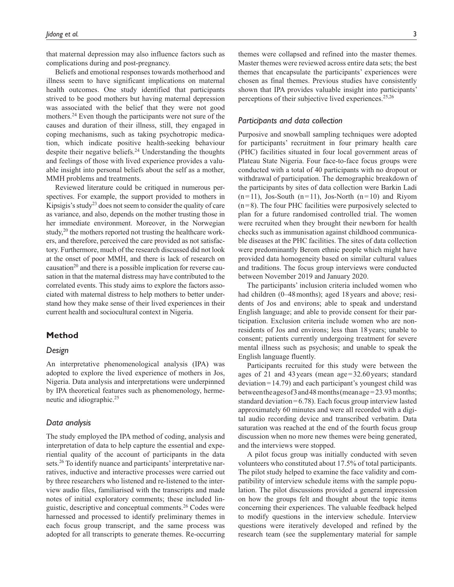that maternal depression may also influence factors such as complications during and post-pregnancy.

Beliefs and emotional responses towards motherhood and illness seem to have significant implications on maternal health outcomes. One study identified that participants strived to be good mothers but having maternal depression was associated with the belief that they were not good mothers.<sup>24</sup> Even though the participants were not sure of the causes and duration of their illness, still, they engaged in coping mechanisms, such as taking psychotropic medication, which indicate positive health-seeking behaviour despite their negative beliefs.<sup>24</sup> Understanding the thoughts and feelings of those with lived experience provides a valuable insight into personal beliefs about the self as a mother, MMH problems and treatments.

Reviewed literature could be critiqued in numerous perspectives. For example, the support provided to mothers in Kipsigis's study<sup>23</sup> does not seem to consider the quality of care as variance, and also, depends on the mother trusting those in her immediate environment. Moreover, in the Norwegian study, $^{20}$  the mothers reported not trusting the healthcare workers, and therefore, perceived the care provided as not satisfactory. Furthermore, much of the research discussed did not look at the onset of poor MMH, and there is lack of research on causation<sup>20</sup> and there is a possible implication for reverse causation in that the maternal distress may have contributed to the correlated events. This study aims to explore the factors associated with maternal distress to help mothers to better understand how they make sense of their lived experiences in their current health and sociocultural context in Nigeria.

# **Method**

### *Design*

An interpretative phenomenological analysis (IPA) was adopted to explore the lived experience of mothers in Jos, Nigeria. Data analysis and interpretations were underpinned by IPA theoretical features such as phenomenology, hermeneutic and idiographic.25

## *Data analysis*

The study employed the IPA method of coding, analysis and interpretation of data to help capture the essential and experiential quality of the account of participants in the data sets.<sup>26</sup> To identify nuance and participants' interpretative narratives, inductive and interactive processes were carried out by three researchers who listened and re-listened to the interview audio files, familiarised with the transcripts and made notes of initial exploratory comments; these included linguistic, descriptive and conceptual comments.26 Codes were harnessed and processed to identify preliminary themes in each focus group transcript, and the same process was adopted for all transcripts to generate themes. Re-occurring

themes were collapsed and refined into the master themes. Master themes were reviewed across entire data sets; the best themes that encapsulate the participants' experiences were chosen as final themes. Previous studies have consistently shown that IPA provides valuable insight into participants' perceptions of their subjective lived experiences.<sup>25,26</sup>

### *Participants and data collection*

Purposive and snowball sampling techniques were adopted for participants' recruitment in four primary health care (PHC) facilities situated in four local government areas of Plateau State Nigeria. Four face-to-face focus groups were conducted with a total of 40 participants with no dropout or withdrawal of participation. The demographic breakdown of the participants by sites of data collection were Barkin Ladi  $(n=11)$ , Jos-South  $(n=11)$ , Jos-North  $(n=10)$  and Riyom  $(n=8)$ . The four PHC facilities were purposively selected to plan for a future randomised controlled trial. The women were recruited when they brought their newborn for health checks such as immunisation against childhood communicable diseases at the PHC facilities. The sites of data collection were predominantly Berom ethnic people which might have provided data homogeneity based on similar cultural values and traditions. The focus group interviews were conducted between November 2019 and January 2020.

The participants' inclusion criteria included women who had children (0–48 months); aged 18 years and above; residents of Jos and environs; able to speak and understand English language; and able to provide consent for their participation. Exclusion criteria include women who are nonresidents of Jos and environs; less than 18 years; unable to consent; patients currently undergoing treatment for severe mental illness such as psychosis; and unable to speak the English language fluently.

Participants recruited for this study were between the ages of 21 and 43 years (mean age=32.60 years; standard deviation=14.79) and each participant's youngest child was between the ages of 3 and 48 months (mean age =  $23.93$  months; standard deviation=6.78). Each focus group interview lasted approximately 60 minutes and were all recorded with a digital audio recording device and transcribed verbatim. Data saturation was reached at the end of the fourth focus group discussion when no more new themes were being generated, and the interviews were stopped.

A pilot focus group was initially conducted with seven volunteers who constituted about 17.5% of total participants. The pilot study helped to examine the face validity and compatibility of interview schedule items with the sample population. The pilot discussions provided a general impression on how the groups felt and thought about the topic items concerning their experiences. The valuable feedback helped to modify questions in the interview schedule. Interview questions were iteratively developed and refined by the research team (see the supplementary material for sample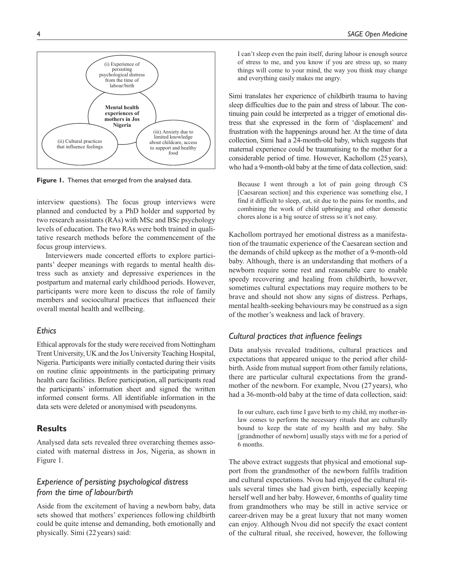

**Figure 1.** Themes that emerged from the analysed data.

interview questions). The focus group interviews were planned and conducted by a PhD holder and supported by two research assistants (RAs) with MSc and BSc psychology levels of education. The two RAs were both trained in qualitative research methods before the commencement of the focus group interviews.

Interviewers made concerted efforts to explore participants' deeper meanings with regards to mental health distress such as anxiety and depressive experiences in the postpartum and maternal early childhood periods. However, participants were more keen to discuss the role of family members and sociocultural practices that influenced their overall mental health and wellbeing.

### *Ethics*

Ethical approvals for the study were received from Nottingham Trent University, UK and the Jos University Teaching Hospital, Nigeria. Participants were initially contacted during their visits on routine clinic appointments in the participating primary health care facilities. Before participation, all participants read the participants' information sheet and signed the written informed consent forms. All identifiable information in the data sets were deleted or anonymised with pseudonyms.

# **Results**

Analysed data sets revealed three overarching themes associated with maternal distress in Jos, Nigeria, as shown in Figure 1.

# *Experience of persisting psychological distress from the time of labour/birth*

Aside from the excitement of having a newborn baby, data sets showed that mothers' experiences following childbirth could be quite intense and demanding, both emotionally and physically. Simi (22years) said:

I can't sleep even the pain itself, during labour is enough source of stress to me, and you know if you are stress up, so many things will come to your mind, the way you think may change and everything easily makes me angry.

Simi translates her experience of childbirth trauma to having sleep difficulties due to the pain and stress of labour. The continuing pain could be interpreted as a trigger of emotional distress that she expressed in the form of 'displacement' and frustration with the happenings around her. At the time of data collection, Simi had a 24-month-old baby, which suggests that maternal experience could be traumatising to the mother for a considerable period of time. However, Kachollom (25years), who had a 9-month-old baby at the time of data collection, said:

Because I went through a lot of pain going through CS [Caesarean section] and this experience was something else, I find it difficult to sleep, eat, sit due to the pains for months, and combining the work of child upbringing and other domestic chores alone is a big source of stress so it's not easy.

Kachollom portrayed her emotional distress as a manifestation of the traumatic experience of the Caesarean section and the demands of child upkeep as the mother of a 9-month-old baby. Although, there is an understanding that mothers of a newborn require some rest and reasonable care to enable speedy recovering and healing from childbirth, however, sometimes cultural expectations may require mothers to be brave and should not show any signs of distress. Perhaps, mental health-seeking behaviours may be construed as a sign of the mother's weakness and lack of bravery.

# *Cultural practices that influence feelings*

Data analysis revealed traditions, cultural practices and expectations that appeared unique to the period after childbirth. Aside from mutual support from other family relations, there are particular cultural expectations from the grandmother of the newborn. For example, Nvou (27 years), who had a 36-month-old baby at the time of data collection, said:

In our culture, each time I gave birth to my child, my mother-inlaw comes to perform the necessary rituals that are culturally bound to keep the state of my health and my baby. She [grandmother of newborn] usually stays with me for a period of 6 months.

The above extract suggests that physical and emotional support from the grandmother of the newborn fulfils tradition and cultural expectations. Nvou had enjoyed the cultural rituals several times she had given birth, especially keeping herself well and her baby. However, 6months of quality time from grandmothers who may be still in active service or career-driven may be a great luxury that not many women can enjoy. Although Nvou did not specify the exact content of the cultural ritual, she received, however, the following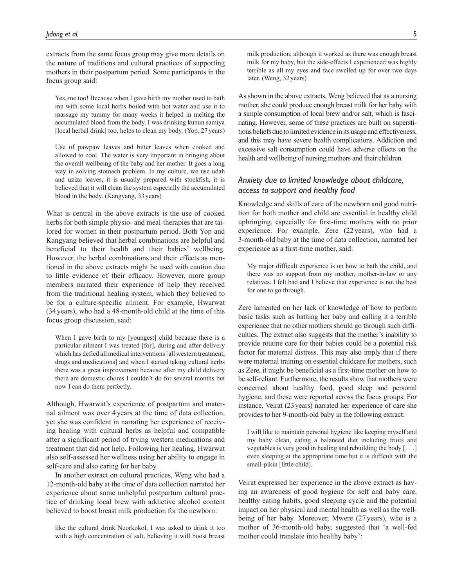extracts from the same focus group may give more details on the nature of traditions and cultural practices of supporting mothers in their postpartum period. Some participants in the focus group said:

Yes, me too! Because when I gave birth my mother used to bath me with some local herbs boiled with hot water and use it to massage my tummy for many weeks it helped in melting the accumulated blood from the body. I was drinking kunun samiya [local herbal drink] too, helps to clean my body. (Yop, 27 years)

Use of pawpaw leaves and bitter leaves when cooked and allowed to cool. The water is very important in bringing about the overall wellbeing of the baby and her mother. It goes a long way in solving stomach problem. In my culture, we use udah and uziza leaves, it is usually prepared with stockfish, it is believed that it will clean the system especially the accumulated blood in the body. (Kangyang, 33years)

What is central in the above extracts is the use of cooked herbs for both simple physio- and meal-therapies that are tailored for women in their postpartum period. Both Yop and Kangyang believed that herbal combinations are helpful and beneficial to their health and their babies' wellbeing. However, the herbal combinations and their effects as mentioned in the above extracts might be used with caution due to little evidence of their efficacy. However, more group members narrated their experience of help they received from the traditional healing system, which they believed to be for a culture-specific ailment. For example, Hwarwat (34 years), who had a 48-month-old child at the time of this focus group discussion, said:

When I gave birth to my [youngest] child because there is a particular ailment I was treated [for], during and after delivery which has defied all medical interventions [all western treatment, drugs and medications] and when I started taking cultural herbs there was a great improvement because after my child delivery there are domestic chores I couldn't do for several months but now I can do them perfectly.

Although, Hwarwat's experience of postpartum and maternal ailment was over 4years at the time of data collection, yet she was confident in narrating her experience of receiving healing with cultural herbs as helpful and compatible after a significant period of trying western medications and treatment that did not help. Following her healing, Hwarwat also self-assessed her wellness using her ability to engage in self-care and also caring for her baby.

In another extract on cultural practices, Weng who had a 12-month-old baby at the time of data collection narrated her experience about some unhelpful postpartum cultural practice of drinking local brew with addictive alcohol content believed to boost breast milk production for the newborn:

like the cultural drink Nzorkokol, I was asked to drink it too with a high concentration of salt, believing it will boost breast milk production, although it worked as there was enough breast milk for my baby, but the side-effects I experienced was highly terrible as all my eyes and face swelled up for over two days later. (Weng, 32 years)

As shown in the above extracts, Weng believed that as a nursing mother, she could produce enough breast milk for her baby with a simple consumption of local brew and/or salt, which is fascinating. However, some of these practices are built on superstitious beliefs due to limited evidence in its usage and effectiveness, and this may have severe health complications. Addiction and excessive salt consumption could have adverse effects on the health and wellbeing of nursing mothers and their children.

# *Anxiety due to limited knowledge about childcare, access to support and healthy food*

Knowledge and skills of care of the newborn and good nutrition for both mother and child are essential in healthy child upbringing, especially for first-time mothers with no prior experience. For example, Zere (22 years), who had a 3-month-old baby at the time of data collection, narrated her experience as a first-time mother, said:

My major difficult experience is on how to bath the child, and there was no support from my mother, mother-in-law or any relatives. I felt bad and I believe that experience is not the best for one to go through.

Zere lamented on her lack of knowledge of how to perform basic tasks such as bathing her baby and calling it a terrible experience that no other mothers should go through such difficulties. The extract also suggests that the mother's inability to provide routine care for their babies could be a potential risk factor for maternal distress. This may also imply that if there were maternal training on essential childcare for mothers, such as Zere, it might be beneficial as a first-time mother on how to be self-reliant. Furthermore, the results show that mothers were concerned about healthy food, good sleep and personal hygiene, and these were reported across the focus groups. For instance, Veirat (23years) narrated her experience of care she provides to her 9-month-old baby in the following extract:

I will like to maintain personal hygiene like keeping myself and my baby clean, eating a balanced diet including fruits and vegetables is very good in healing and rebuilding the body [. . .] even sleeping at the appropriate time but it is difficult with the small-pikin [little child].

Veirat expressed her experience in the above extract as having an awareness of good hygiene for self and baby care, healthy eating habits, good sleeping cycle and the potential impact on her physical and mental health as well as the wellbeing of her baby. Moreover, Mwere (27years), who is a mother of 36-month-old baby, suggested that 'a well-fed mother could translate into healthy baby':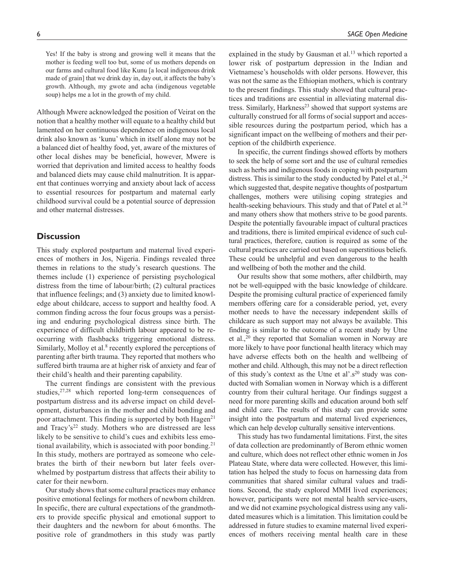Yes! If the baby is strong and growing well it means that the mother is feeding well too but, some of us mothers depends on our farms and cultural food like Kunu [a local indigenous drink made of grain] that we drink day in, day out, it affects the baby's growth. Although, my gwote and acha (indigenous vegetable soup) helps me a lot in the growth of my child.

Although Mwere acknowledged the position of Veirat on the notion that a healthy mother will equate to a healthy child but lamented on her continuous dependence on indigenous local drink also known as 'kunu' which in itself alone may not be a balanced diet of healthy food, yet, aware of the mixtures of other local dishes may be beneficial, however, Mwere is worried that deprivation and limited access to healthy foods and balanced diets may cause child malnutrition. It is apparent that continues worrying and anxiety about lack of access to essential resources for postpartum and maternal early childhood survival could be a potential source of depression and other maternal distresses.

# **Discussion**

This study explored postpartum and maternal lived experiences of mothers in Jos, Nigeria. Findings revealed three themes in relations to the study's research questions. The themes include (1) experience of persisting psychological distress from the time of labour/birth; (2) cultural practices that influence feelings; and (3) anxiety due to limited knowledge about childcare, access to support and healthy food. A common finding across the four focus groups was a persisting and enduring psychological distress since birth. The experience of difficult childbirth labour appeared to be reoccurring with flashbacks triggering emotional distress. Similarly, Molloy et al.<sup>8</sup> recently explored the perceptions of parenting after birth trauma. They reported that mothers who suffered birth trauma are at higher risk of anxiety and fear of their child's health and their parenting capability.

The current findings are consistent with the previous studies,  $27,28$  which reported long-term consequences of postpartum distress and its adverse impact on child development, disturbances in the mother and child bonding and poor attachment. This finding is supported by both Hagen<sup>21</sup> and Tracy's<sup>22</sup> study. Mothers who are distressed are less likely to be sensitive to child's cues and exhibits less emotional availability, which is associated with poor bonding.<sup>21</sup> In this study, mothers are portrayed as someone who celebrates the birth of their newborn but later feels overwhelmed by postpartum distress that affects their ability to cater for their newborn.

Our study shows that some cultural practices may enhance positive emotional feelings for mothers of newborn children. In specific, there are cultural expectations of the grandmothers to provide specific physical and emotional support to their daughters and the newborn for about 6months. The positive role of grandmothers in this study was partly explained in the study by Gausman et al.<sup>13</sup> which reported a lower risk of postpartum depression in the Indian and Vietnamese's households with older persons. However, this was not the same as the Ethiopian mothers, which is contrary to the present findings. This study showed that cultural practices and traditions are essential in alleviating maternal distress. Similarly, Harkness<sup>23</sup> showed that support systems are culturally construed for all forms of social support and accessible resources during the postpartum period, which has a significant impact on the wellbeing of mothers and their perception of the childbirth experience.

In specific, the current findings showed efforts by mothers to seek the help of some sort and the use of cultural remedies such as herbs and indigenous foods in coping with postpartum distress. This is similar to the study conducted by Patel et al., $^{24}$ which suggested that, despite negative thoughts of postpartum challenges, mothers were utilising coping strategies and health-seeking behaviours. This study and that of Patel et al.<sup>24</sup> and many others show that mothers strive to be good parents. Despite the potentially favourable impact of cultural practices and traditions, there is limited empirical evidence of such cultural practices, therefore, caution is required as some of the cultural practices are carried out based on superstitious beliefs. These could be unhelpful and even dangerous to the health and wellbeing of both the mother and the child.

Our results show that some mothers, after childbirth, may not be well-equipped with the basic knowledge of childcare. Despite the promising cultural practice of experienced family members offering care for a considerable period, yet, every mother needs to have the necessary independent skills of childcare as such support may not always be available. This finding is similar to the outcome of a recent study by Utne et al.,<sup>20</sup> they reported that Somalian women in Norway are more likely to have poor functional health literacy which may have adverse effects both on the health and wellbeing of mother and child. Although, this may not be a direct reflection of this study's context as the Utne et al'.s<sup>20</sup> study was conducted with Somalian women in Norway which is a different country from their cultural heritage. Our findings suggest a need for more parenting skills and education around both self and child care. The results of this study can provide some insight into the postpartum and maternal lived experiences, which can help develop culturally sensitive interventions.

This study has two fundamental limitations. First, the sites of data collection are predominantly of Berom ethnic women and culture, which does not reflect other ethnic women in Jos Plateau State, where data were collected. However, this limitation has helped the study to focus on harnessing data from communities that shared similar cultural values and traditions. Second, the study explored MMH lived experiences; however, participants were not mental health service-users, and we did not examine psychological distress using any validated measures which is a limitation. This limitation could be addressed in future studies to examine maternal lived experiences of mothers receiving mental health care in these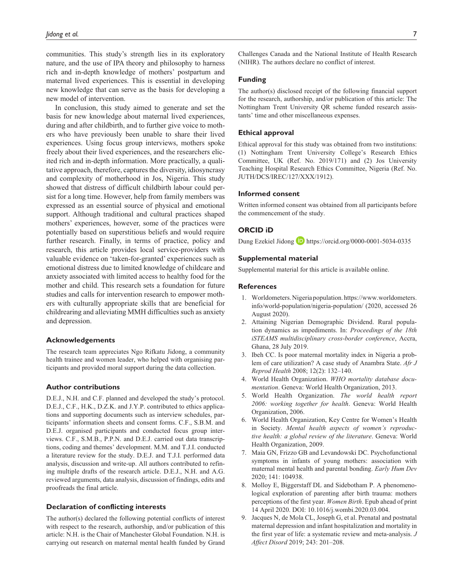communities. This study's strength lies in its exploratory nature, and the use of IPA theory and philosophy to harness rich and in-depth knowledge of mothers' postpartum and maternal lived experiences. This is essential in developing new knowledge that can serve as the basis for developing a new model of intervention.

In conclusion, this study aimed to generate and set the basis for new knowledge about maternal lived experiences, during and after childbirth, and to further give voice to mothers who have previously been unable to share their lived experiences. Using focus group interviews, mothers spoke freely about their lived experiences, and the researchers elicited rich and in-depth information. More practically, a qualitative approach, therefore, captures the diversity, idiosyncrasy and complexity of motherhood in Jos, Nigeria. This study showed that distress of difficult childbirth labour could persist for a long time. However, help from family members was expressed as an essential source of physical and emotional support. Although traditional and cultural practices shaped mothers' experiences, however, some of the practices were potentially based on superstitious beliefs and would require further research. Finally, in terms of practice, policy and research, this article provides local service-providers with valuable evidence on 'taken-for-granted' experiences such as emotional distress due to limited knowledge of childcare and anxiety associated with limited access to healthy food for the mother and child. This research sets a foundation for future studies and calls for intervention research to empower mothers with culturally appropriate skills that are beneficial for childrearing and alleviating MMH difficulties such as anxiety and depression.

#### **Acknowledgements**

The research team appreciates Ngo Rifkatu Jidong, a community health trainee and women leader, who helped with organising participants and provided moral support during the data collection.

### **Author contributions**

D.E.J., N.H. and C.F. planned and developed the study's protocol. D.E.J., C.F., H.K., D.Z.K. and J.Y.P. contributed to ethics applications and supporting documents such as interview schedules, participants' information sheets and consent forms. C.F., S.B.M. and D.E.J. organised participants and conducted focus group interviews. C.F., S.M.B., P.P.N. and D.E.J. carried out data transcriptions, coding and themes' development. M.M. and T.J.I. conducted a literature review for the study. D.E.J. and T.J.I. performed data analysis, discussion and write-up. All authors contributed to refining multiple drafts of the research article. D.E.J., N.H. and A.G. reviewed arguments, data analysis, discussion of findings, edits and proofreads the final article.

### **Declaration of conflicting interests**

The author(s) declared the following potential conflicts of interest with respect to the research, authorship, and/or publication of this article: N.H. is the Chair of Manchester Global Foundation. N.H. is carrying out research on maternal mental health funded by Grand Challenges Canada and the National Institute of Health Research (NIHR). The authors declare no conflict of interest.

### **Funding**

The author(s) disclosed receipt of the following financial support for the research, authorship, and/or publication of this article: The Nottingham Trent University QR scheme funded research assistants' time and other miscellaneous expenses.

### **Ethical approval**

Ethical approval for this study was obtained from two institutions: (1) Nottingham Trent University College's Research Ethics Committee, UK (Ref. No. 2019/171) and (2) Jos University Teaching Hospital Research Ethics Committee, Nigeria (Ref. No. JUTH/DCS/IREC/127/XXX/1912).

### **Informed consent**

Written informed consent was obtained from all participants before the commencement of the study.

### **ORCID iD**

Dung Ezekiel Jidong D <https://orcid.org/0000-0001-5034-0335>

### **Supplemental material**

Supplemental material for this article is available online.

#### **References**

- 1. Worldometers. Nigeria population. [https://www.worldometers.](https://www.worldometers.info/world-population/nigeria-population/) [info/world-population/nigeria-population/](https://www.worldometers.info/world-population/nigeria-population/) (2020, accessed 26 August 2020).
- 2. Attaining Nigerian Demographic Dividend. Rural population dynamics as impediments. In: *Proceedings of the 18th iSTEAMS multidisciplinary cross-border conference*, Accra, Ghana, 28 July 2019.
- 3. Ibeh CC. Is poor maternal mortality index in Nigeria a problem of care utilization? A case study of Anambra State. *Afr J Reprod Health* 2008; 12(2): 132–140.
- 4. World Health Organization. *WHO mortality database documentation*. Geneva: World Health Organization, 2013.
- 5. World Health Organization. *The world health report 2006: working together for health*. Geneva: World Health Organization, 2006.
- 6. World Health Organization, Key Centre for Women's Health in Society. *Mental health aspects of women's reproductive health: a global review of the literature*. Geneva: World Health Organization, 2009.
- 7. Maia GN, Frizzo GB and Levandowski DC. Psychofunctional symptoms in infants of young mothers: association with maternal mental health and parental bonding. *Early Hum Dev* 2020; 141: 104938.
- 8. Molloy E, Biggerstaff DL and Sidebotham P. A phenomenological exploration of parenting after birth trauma: mothers perceptions of the first year. *Women Birth*. Epub ahead of print 14 April 2020. DOI: 10.1016/j.wombi.2020.03.004.
- 9. Jacques N, de Mola CL, Joseph G, et al. Prenatal and postnatal maternal depression and infant hospitalization and mortality in the first year of life: a systematic review and meta-analysis. *J Affect Disord* 2019; 243: 201–208.